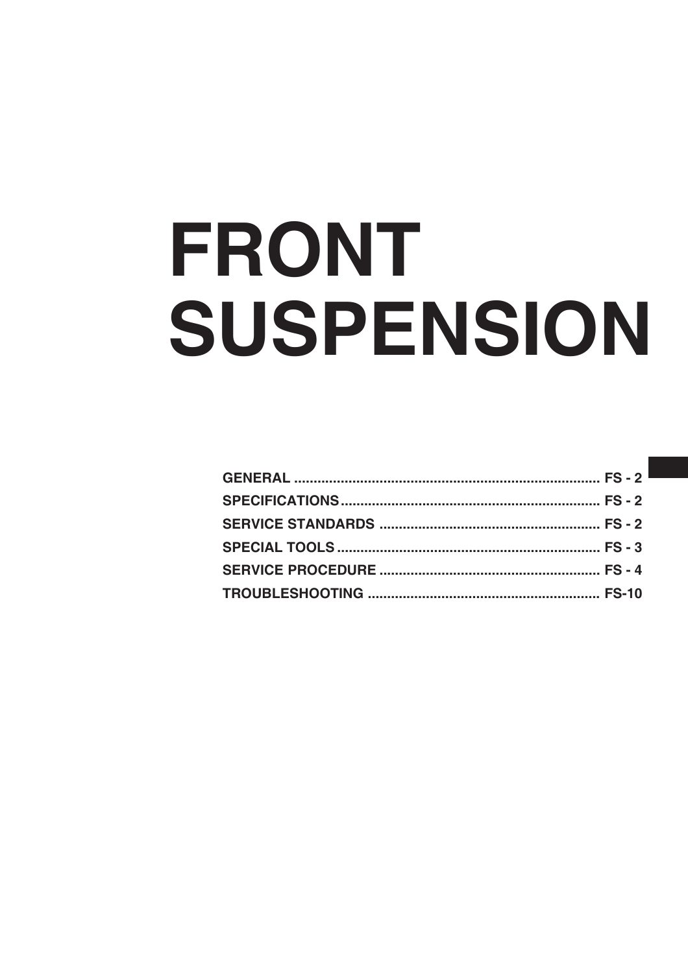# FRONT SUSPENSION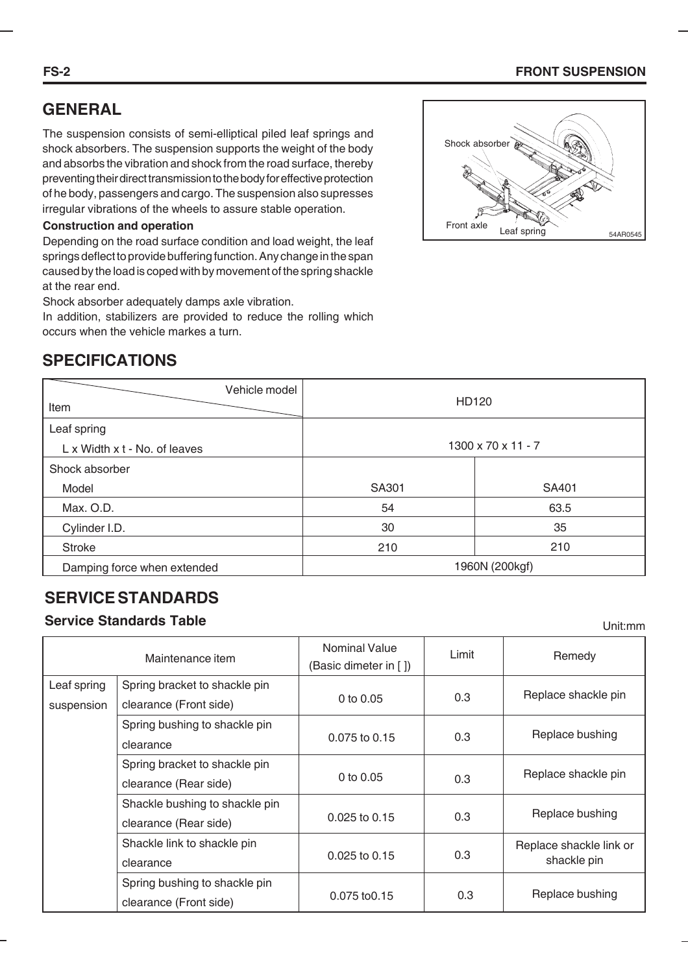#### **FS-2 FRONT SUSPENSION**

# **GENERAL**

The suspension consists of semi-elliptical piled leaf springs and shock absorbers. The suspension supports the weight of the body and absorbs the vibration and shock from the road surface, thereby preventing their direct transmission to the body for effective protection of he body, passengers and cargo. The suspension also supresses irregular vibrations of the wheels to assure stable operation.

#### **Construction and operation**

Depending on the road surface condition and load weight, the leaf springs deflect to provide buffering function. Any change in the span caused by the load is coped with by movement of the spring shackle at the rear end.

Shock absorber adequately damps axle vibration.

In addition, stabilizers are provided to reduce the rolling which occurs when the vehicle markes a turn.

# **SPECIFICATIONS**

| Vehicle model<br>Item         | <b>HD120</b>       |       |  |  |
|-------------------------------|--------------------|-------|--|--|
| Leaf spring                   |                    |       |  |  |
| L x Width x t - No. of leaves | 1300 x 70 x 11 - 7 |       |  |  |
| Shock absorber                |                    |       |  |  |
| Model                         | SA301              | SA401 |  |  |
| Max. O.D.                     | 54                 | 63.5  |  |  |
| Cylinder I.D.                 | 30                 | 35    |  |  |
| <b>Stroke</b>                 | 210                | 210   |  |  |
| Damping force when extended   | 1960N (200kgf)     |       |  |  |

# **SERVICE STANDARDS**

#### **Service Standards Table**

Maintenance item Spring bracket to shackle pin suspension clearance (Front side) 0 to 0.05 Spring bushing to shackle pin clearance Spring bracket to shackle pin clearance (Rear side) Shackle bushing to shackle pin clearance (Rear side) Shackle link to shackle pin clearance Spring bushing to shackle pin clearance (Front side) Leaf spring 0.075 to 0.15 0 to 0.05 0.025 to 0.15 0.025 to 0.15 0.075 to0.15 Limit Nominal Value (Basic dimeter in [ ]) 0.3 0.3 0.3 0.3 0.3 0.3 **Remedy** Replace shackle pin Replace bushing Replace shackle pin Replace bushing Replace shackle link or shackle pin Replace bushing



Unit:mm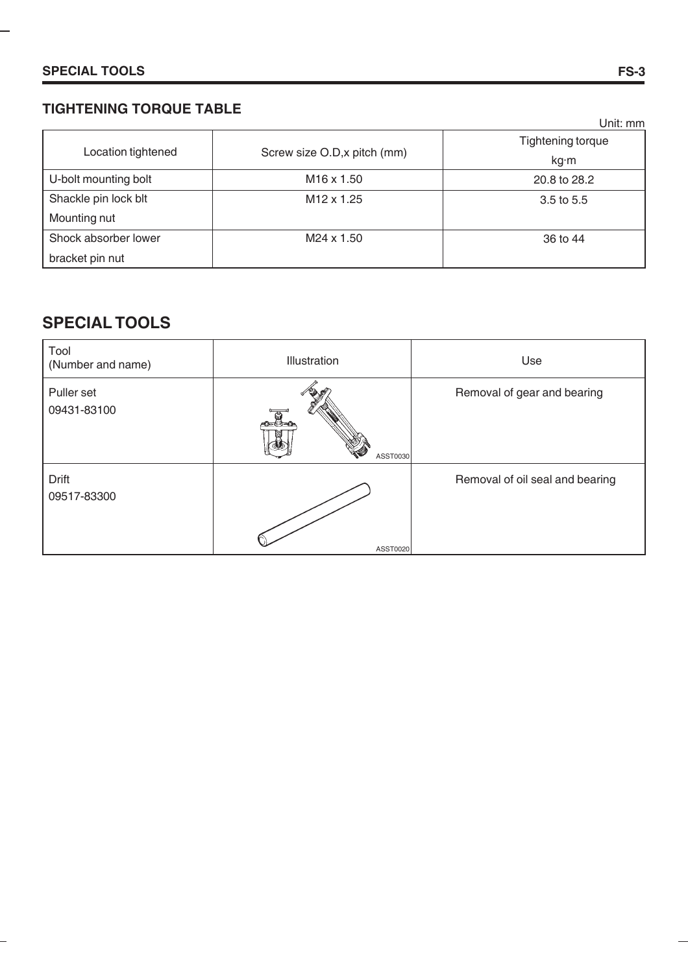## **TIGHTENING TORQUE TABLE**

|                      |                              | Unit: mm          |
|----------------------|------------------------------|-------------------|
| Location tightened   |                              | Tightening torque |
|                      | Screw size O.D, x pitch (mm) | kg∙m              |
| U-bolt mounting bolt | M <sub>16</sub> x 1.50       | 20.8 to 28.2      |
| Shackle pin lock blt | M <sub>12</sub> x 1.25       | $3.5$ to $5.5$    |
| Mounting nut         |                              |                   |
| Shock absorber lower | M24 x 1.50                   | 36 to 44          |
| bracket pin nut      |                              |                   |

# **SPECIAL TOOLS**

-

| Tool<br>(Number and name) | Illustration | Use                             |
|---------------------------|--------------|---------------------------------|
| Puller set<br>09431-83100 | ASST0030     | Removal of gear and bearing     |
| Drift<br>09517-83300      | ASST0020     | Removal of oil seal and bearing |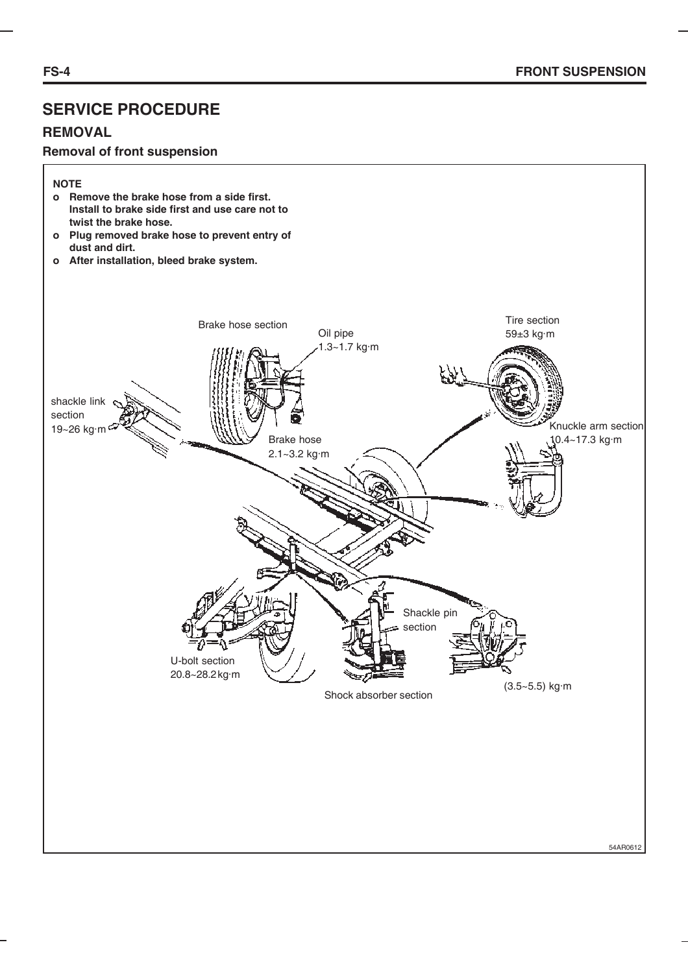## **REMOVAL**

#### **Removal of front suspension**

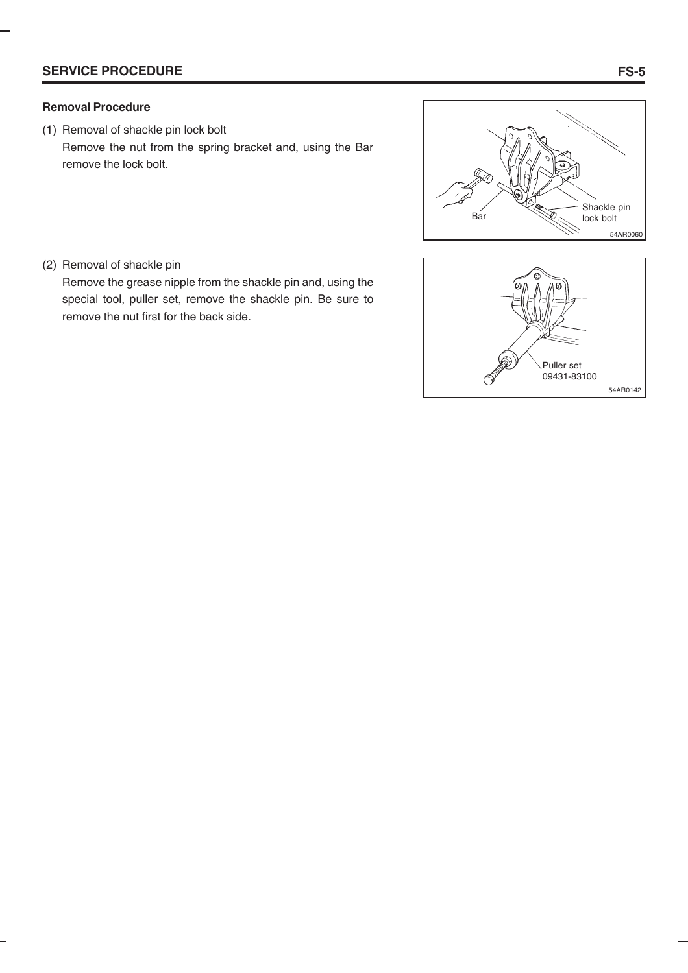#### **Removal Procedure**

(1) Removal of shackle pin lock bolt Remove the nut from the spring bracket and, using the Bar remove the lock bolt.



(2) Removal of shackle pin

Remove the grease nipple from the shackle pin and, using the special tool, puller set, remove the shackle pin. Be sure to remove the nut first for the back side.

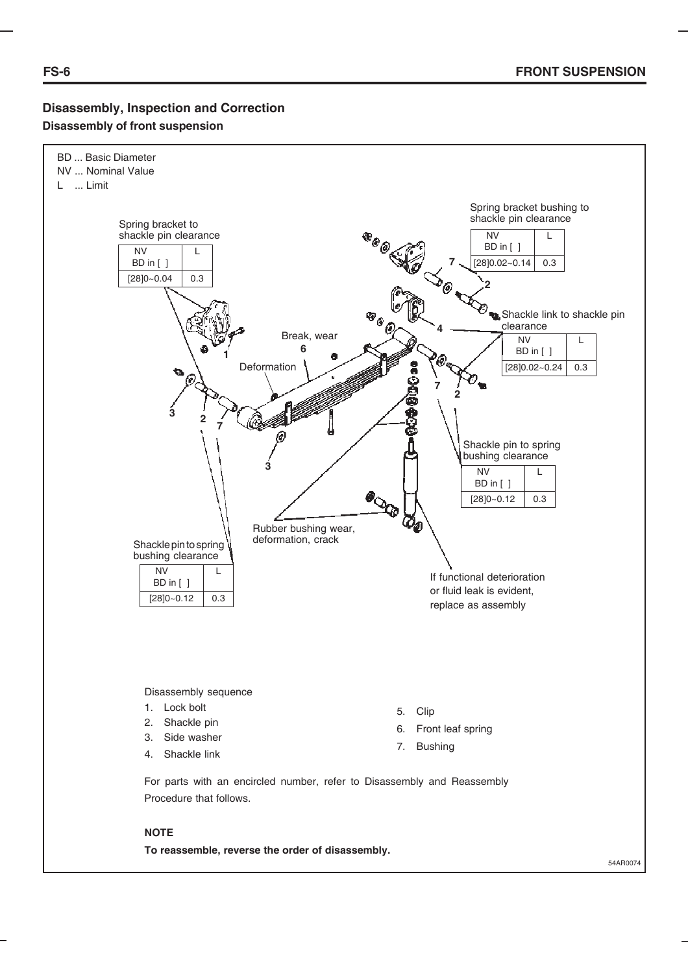#### **Disassembly, Inspection and Correction Disassembly of front suspension**



**To reassemble, reverse the order of disassembly.**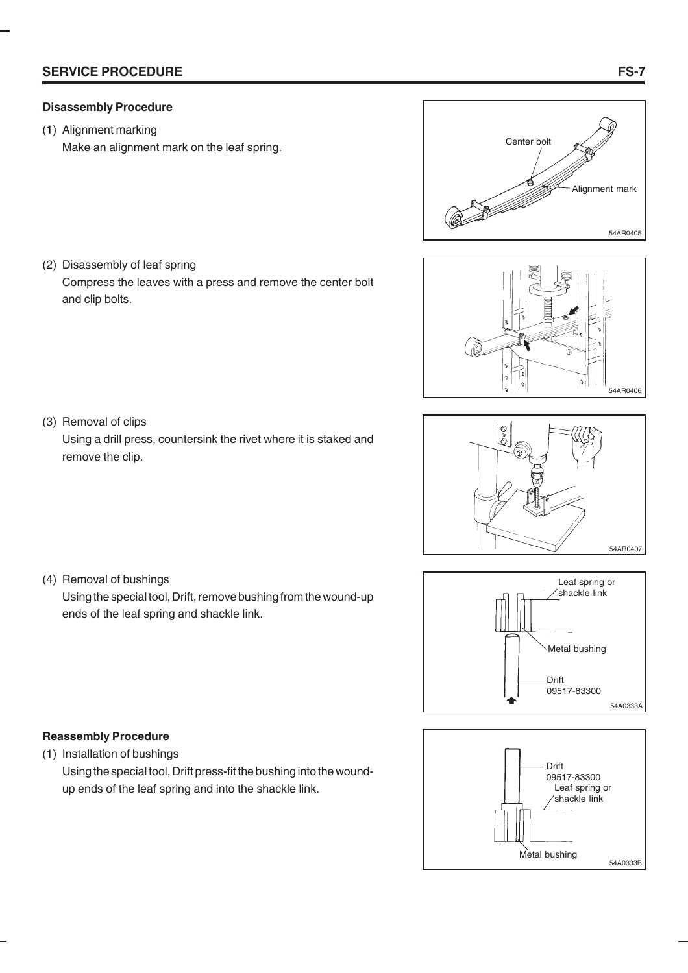#### **Disassembly Procedure**

(2) Disassembly of leaf spring

(1) Alignment marking

Make an alignment mark on the leaf spring.











(3) Removal of clips

and clip bolts.

Using a drill press, countersink the rivet where it is staked and remove the clip.

(4) Removal of bushings

Using the special tool, Drift, remove bushing from the wound-up ends of the leaf spring and shackle link.

# **Reassembly Procedure**

(1) Installation of bushings

Using the special tool, Drift press-fit the bushing into the woundup ends of the leaf spring and into the shackle link.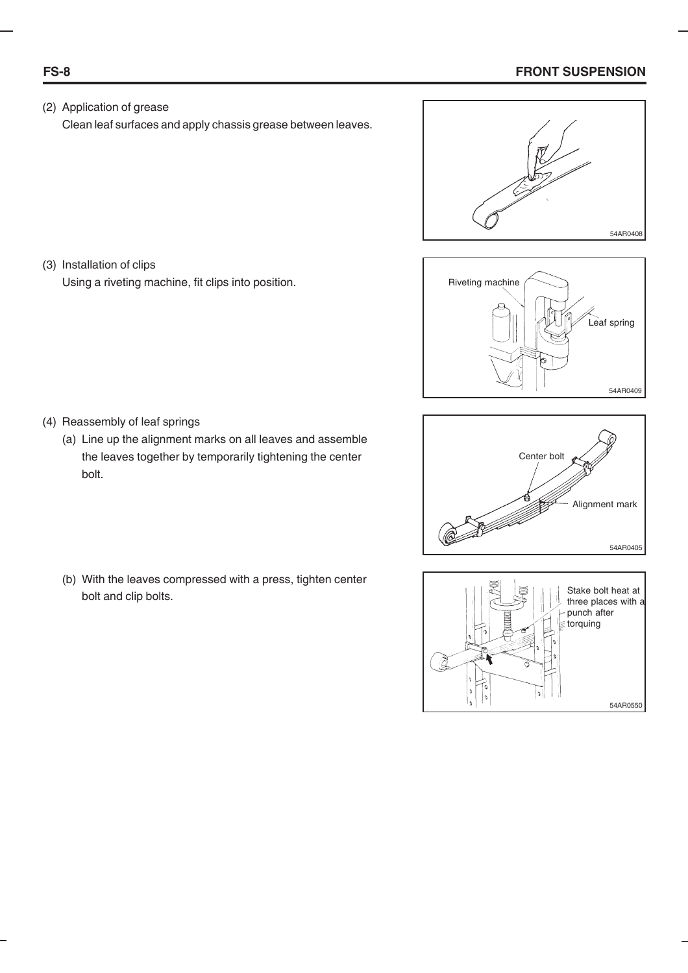#### **FS-8 FRONT SUSPENSION**

(2) Application of grease Clean leaf surfaces and apply chassis grease between leaves.



(3) Installation of clips Using a riveting machine, fit clips into position.







- (4) Reassembly of leaf springs
	- (a) Line up the alignment marks on all leaves and assemble the leaves together by temporarily tightening the center bolt.
	- (b) With the leaves compressed with a press, tighten center bolt and clip bolts.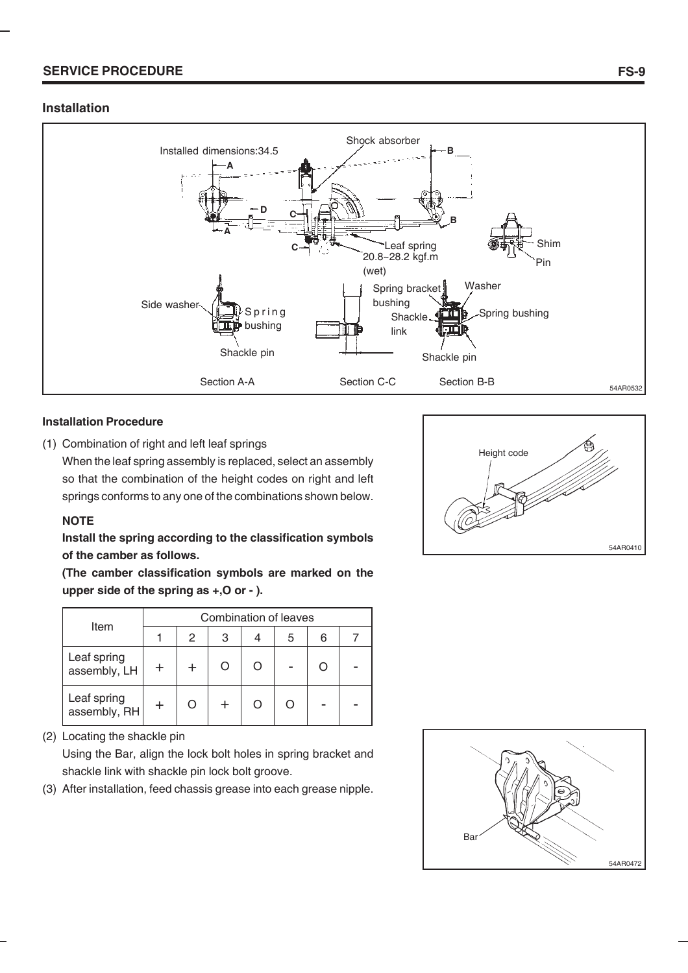#### **Installation**



#### **Installation Procedure**

(1) Combination of right and left leaf springs

When the leaf spring assembly is replaced, select an assembly so that the combination of the height codes on right and left springs conforms to any one of the combinations shown below.

#### **NOTE**

#### **Install the spring according to the classification symbols of the camber as follows.**

**(The camber classification symbols are marked on the upper side of the spring as +,O or - ).**

|                             |   | Combination of leaves |  |   |  |
|-----------------------------|---|-----------------------|--|---|--|
| Item                        | 2 | 3                     |  | 6 |  |
| Leaf spring<br>assembly, LH |   |                       |  |   |  |
| Leaf spring<br>assembly, RH |   |                       |  |   |  |

(2) Locating the shackle pin

Using the Bar, align the lock bolt holes in spring bracket and shackle link with shackle pin lock bolt groove.

(3) After installation, feed chassis grease into each grease nipple.



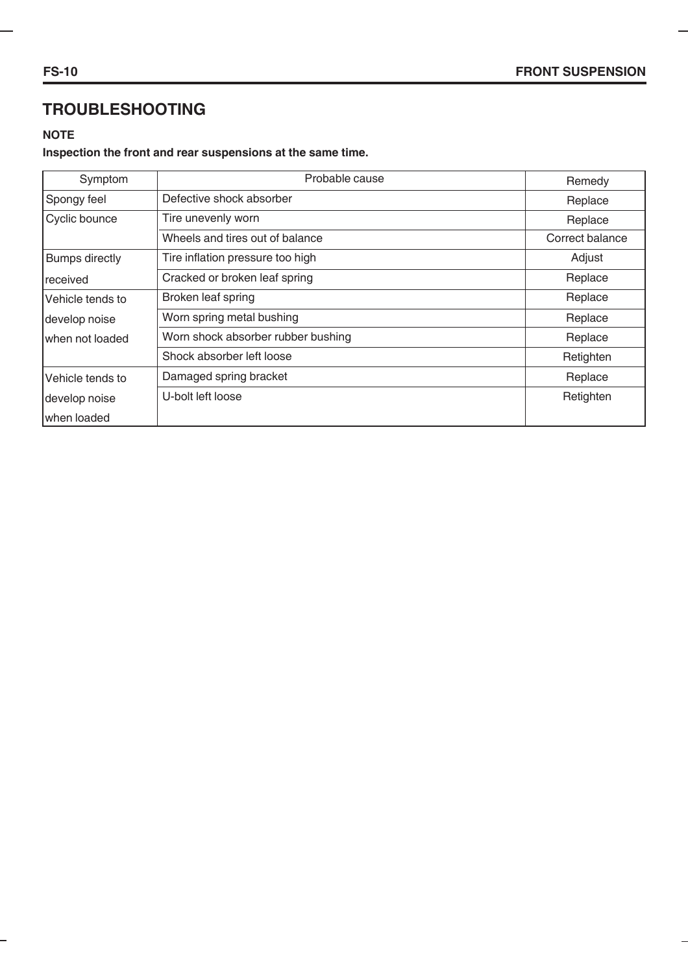# **TROUBLESHOOTING**

#### **NOTE**

## **Inspection the front and rear suspensions at the same time.**

| Symptom               | Probable cause                     | Remedy          |
|-----------------------|------------------------------------|-----------------|
| Spongy feel           | Defective shock absorber           | Replace         |
| Cyclic bounce         | Tire unevenly worn                 | Replace         |
|                       | Wheels and tires out of balance    | Correct balance |
| <b>Bumps directly</b> | Tire inflation pressure too high   | Adjust          |
| Ireceived             | Cracked or broken leaf spring      | Replace         |
| lVehicle tends to     | Broken leaf spring                 | Replace         |
| develop noise         | Worn spring metal bushing          | Replace         |
| when not loaded       | Worn shock absorber rubber bushing | Replace         |
|                       | Shock absorber left loose          | Retighten       |
| lVehicle tends to     | Damaged spring bracket             | Replace         |
| develop noise         | U-bolt left loose                  | Retighten       |
| Iwhen loaded          |                                    |                 |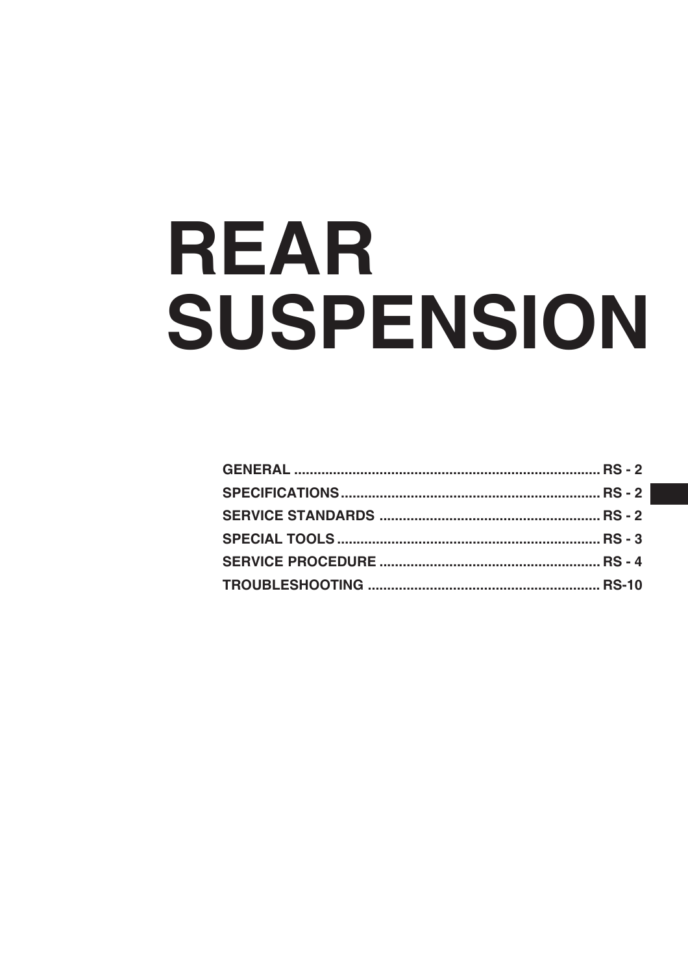# REAR SUSPENSION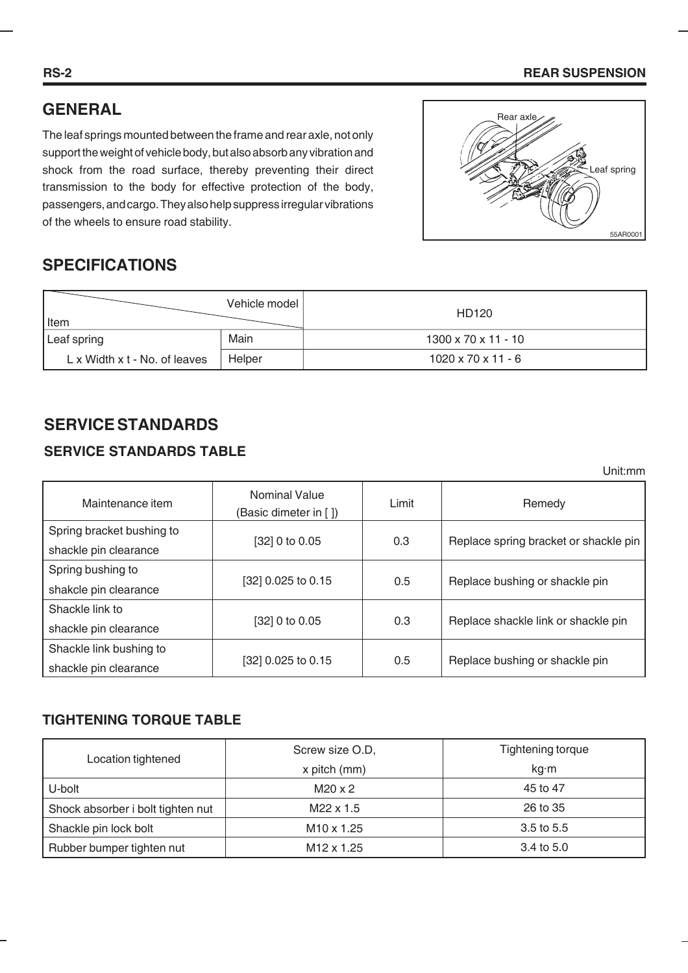# **GENERAL**

The leaf springs mounted between the frame and rear axle, not only support the weight of vehicle body, but also absorb any vibration and shock from the road surface, thereby preventing their direct transmission to the body for effective protection of the body, passengers, and cargo. They also help suppress irregular vibrations of the wheels to ensure road stability.



# **SPECIFICATIONS**

| Item                          | Vehicle model | HD120                           |
|-------------------------------|---------------|---------------------------------|
| Leaf spring                   | Main          | $1300 \times 70 \times 11 - 10$ |
| L x Width x t - No. of leaves | Helper        | $1020 \times 70 \times 11 - 6$  |

# **SERVICE STANDARDS**

# **SERVICE STANDARDS TABLE**

Unit:mm

| Maintenance item          | <b>Nominal Value</b><br>(Basic dimeter in [ ]) | Limit | Remedy                                |  |
|---------------------------|------------------------------------------------|-------|---------------------------------------|--|
| Spring bracket bushing to |                                                |       |                                       |  |
| shackle pin clearance     | [32] 0 to 0.05                                 | 0.3   | Replace spring bracket or shackle pin |  |
| Spring bushing to         |                                                |       |                                       |  |
| shakcle pin clearance     | [32] 0.025 to 0.15                             | 0.5   | Replace bushing or shackle pin        |  |
| Shackle link to           |                                                |       |                                       |  |
| shackle pin clearance     | [32] 0 to 0.05                                 | 0.3   | Replace shackle link or shackle pin   |  |
| Shackle link bushing to   |                                                |       |                                       |  |
| shackle pin clearance     | [32] 0.025 to 0.15                             | 0.5   | Replace bushing or shackle pin        |  |

## **TIGHTENING TORQUE TABLE**

|                                   | Screw size O.D,        | Tightening torque |  |
|-----------------------------------|------------------------|-------------------|--|
| Location tightened                | x pitch (mm)           | kg·m              |  |
| U-bolt                            | $M20 \times 2$         | 45 to 47          |  |
| Shock absorber i bolt tighten nut | M22 x 1.5              | 26 to 35          |  |
| Shackle pin lock bolt             | $M10 \times 1.25$      | $3.5$ to $5.5$    |  |
| Rubber bumper tighten nut         | M <sub>12</sub> x 1.25 | 3.4 to 5.0        |  |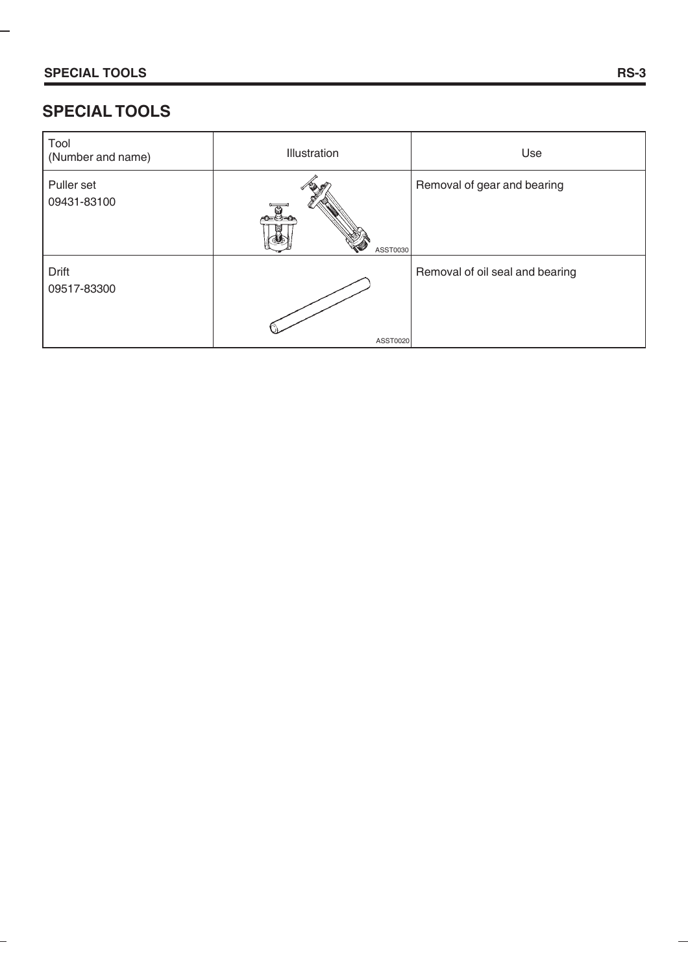-

# **SPECIAL TOOLS**

| Tool<br>(Number and name) | Illustration | Use                             |
|---------------------------|--------------|---------------------------------|
| Puller set<br>09431-83100 | ASST0030     | Removal of gear and bearing     |
| Drift<br>09517-83300      | ASST0020     | Removal of oil seal and bearing |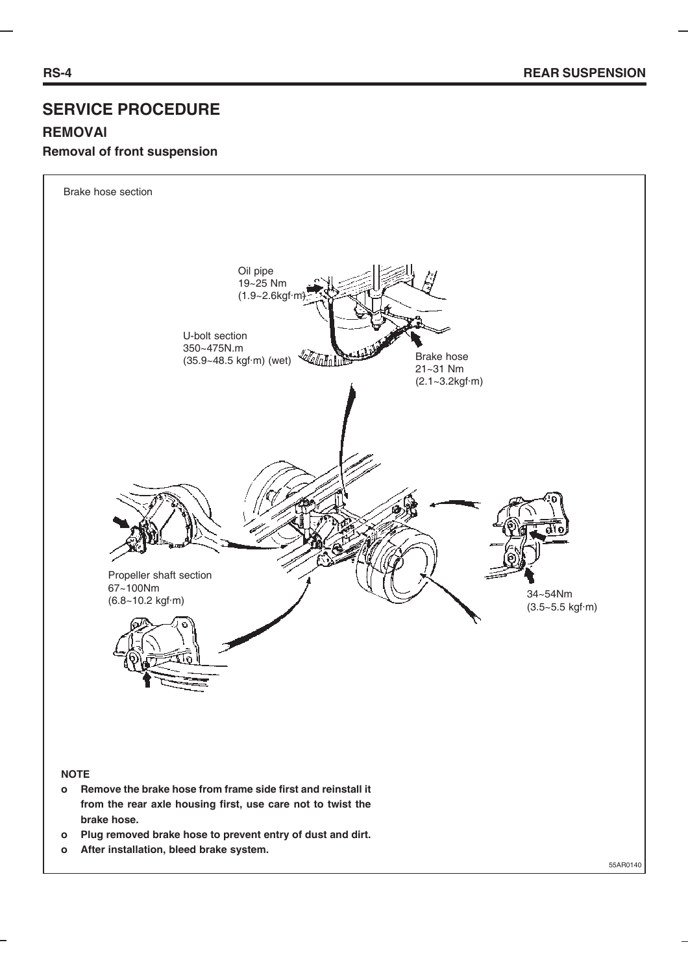# **SERVICE PROCEDURE REMOVAl Removal of front suspension**



#### **NOTE**

- **o Remove the brake hose from frame side first and reinstall it from the rear axle housing first, use care not to twist the brake hose.**
- **o Plug removed brake hose to prevent entry of dust and dirt.**
- **o After installation, bleed brake system.**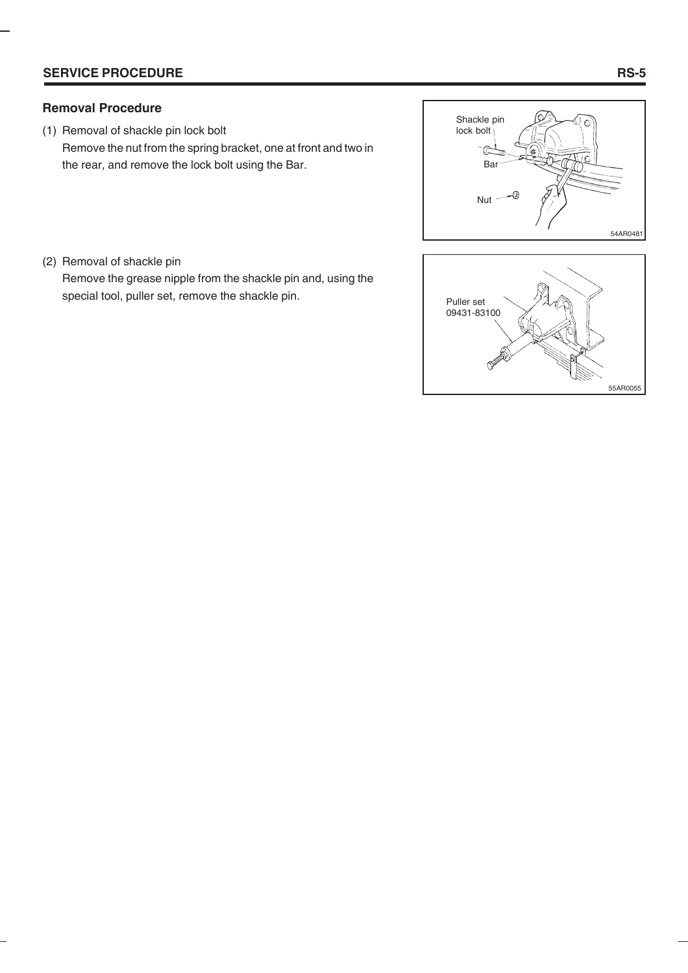#### **Removal Procedure**

(1) Removal of shackle pin lock bolt Remove the nut from the spring bracket, one at front and two in the rear, and remove the lock bolt using the Bar.



(2) Removal of shackle pin

Remove the grease nipple from the shackle pin and, using the special tool, puller set, remove the shackle pin.

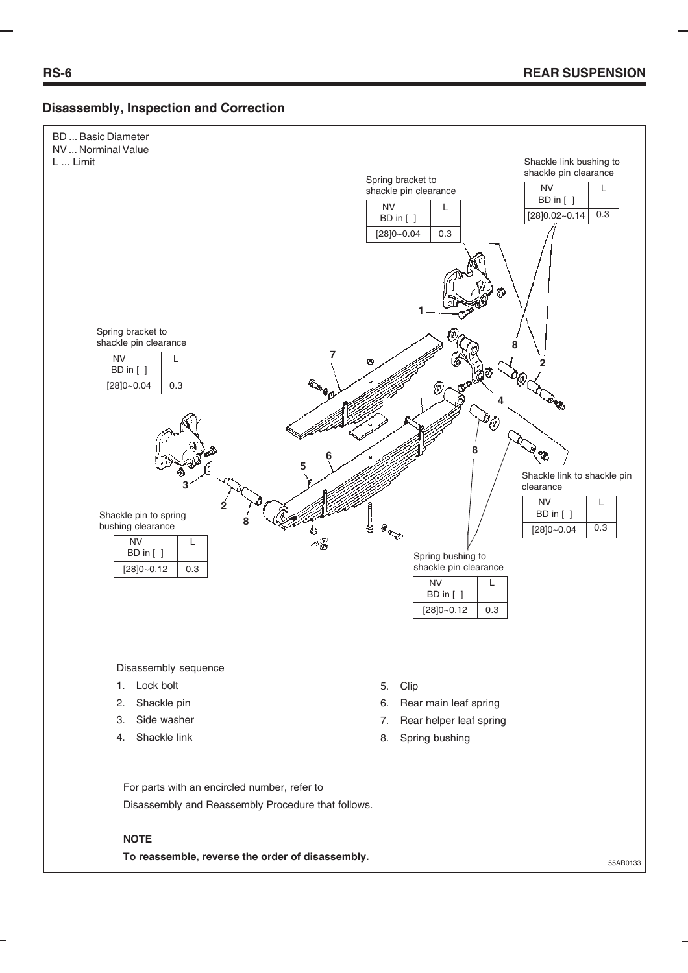#### **Disassembly, Inspection and Correction**



To reassemble, reverse the order of disassembly.<br>
55AR0133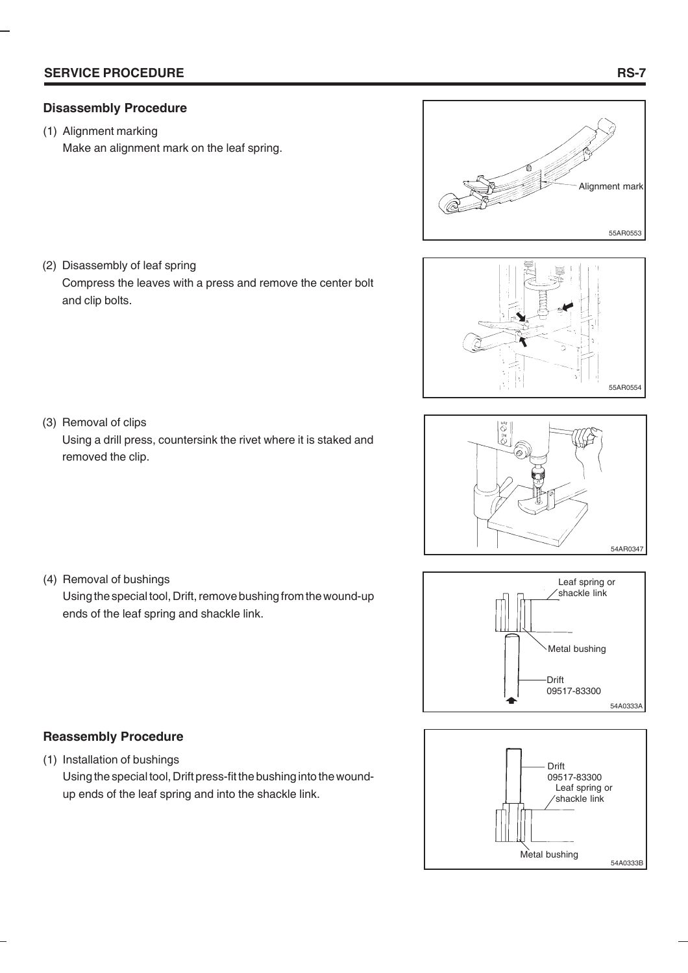(1) Alignment marking

Make an alignment mark on the leaf spring.



(2) Disassembly of leaf spring Compress the leaves with a press and remove the center bolt and clip bolts.









- **Reassembly Procedure**
- (1) Installation of bushings Using the special tool, Drift press-fit the bushing into the woundup ends of the leaf spring and into the shackle link.

(3) Removal of clips

(4) Removal of bushings

Using a drill press, countersink the rivet where it is staked and removed the clip.

Using the special tool, Drift, remove bushing from the wound-up

ends of the leaf spring and shackle link.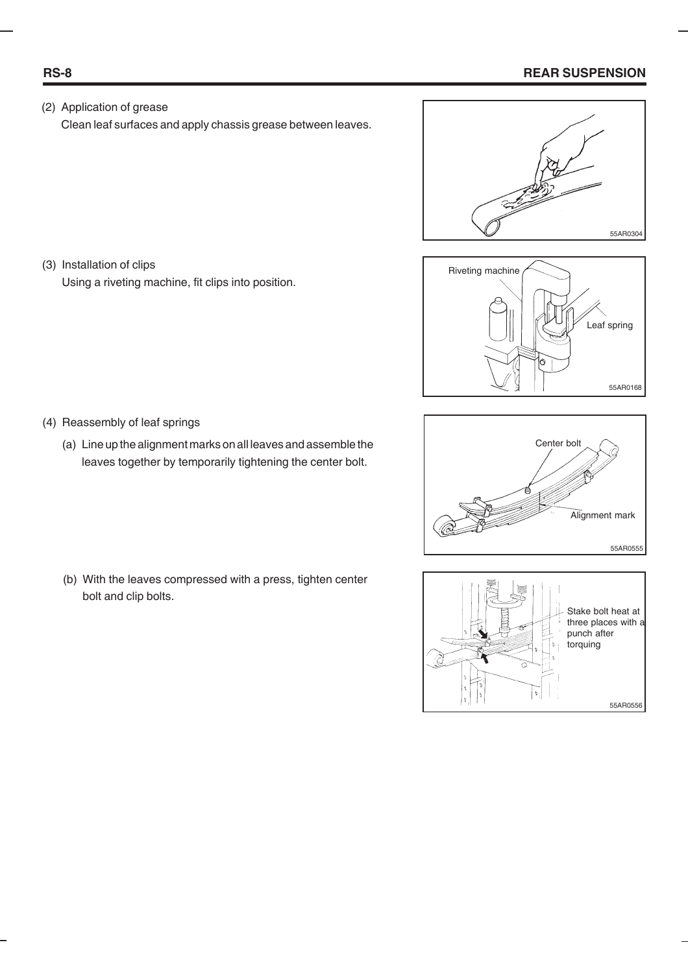#### **RS-8 REAR SUSPENSION**

(2) Application of grease Clean leaf surfaces and apply chassis grease between leaves.









Using a riveting machine, fit clips into position.

(4) Reassembly of leaf springs

(3) Installation of clips

(a) Line up the alignment marks on all leaves and assemble the leaves together by temporarily tightening the center bolt.

(b) With the leaves compressed with a press, tighten center bolt and clip bolts.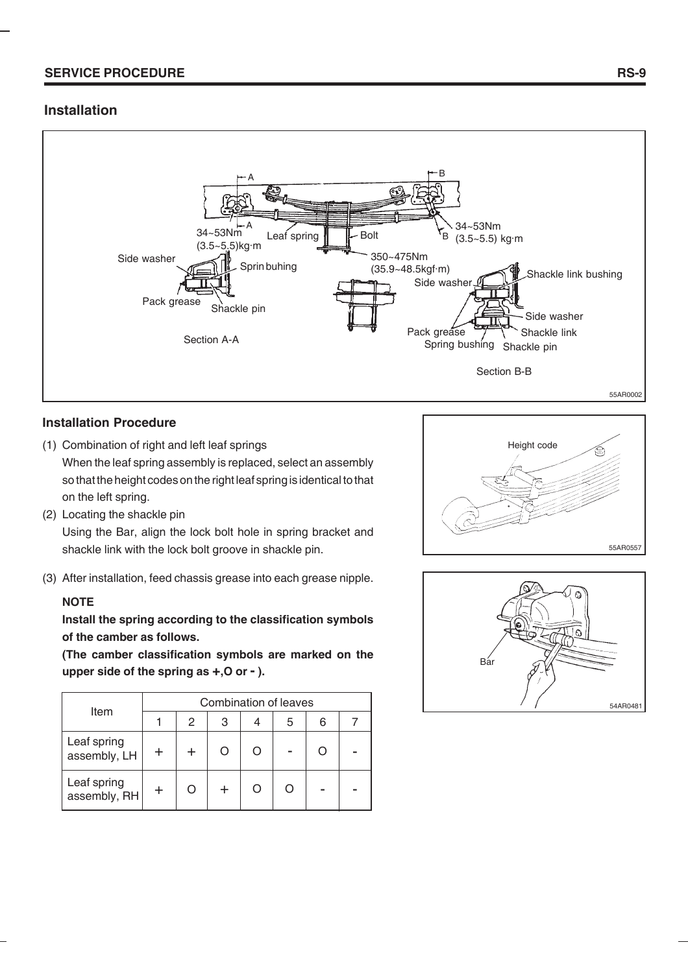#### **Installation**



#### **Installation Procedure**

- (1) Combination of right and left leaf springs When the leaf spring assembly is replaced, select an assembly so that the height codes on the right leaf spring is identical to that on the left spring.
- (2) Locating the shackle pin Using the Bar, align the lock bolt hole in spring bracket and shackle link with the lock bolt groove in shackle pin.
- (3) After installation, feed chassis grease into each grease nipple.

#### **NOTE**

**Install the spring according to the classification symbols of the camber as follows.**

**(The camber classification symbols are marked on the upper side of the spring as +,O or - ).**

| Item                        | Combination of leaves |   |   |  |   |  |  |
|-----------------------------|-----------------------|---|---|--|---|--|--|
|                             |                       | 2 | 3 |  | 5 |  |  |
| Leaf spring<br>assembly, LH |                       |   |   |  |   |  |  |
| Leaf spring<br>assembly, RH |                       |   |   |  |   |  |  |